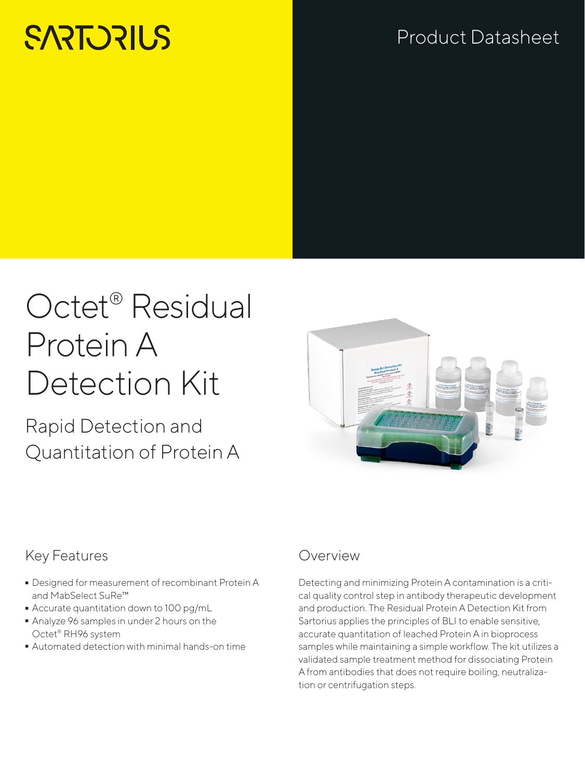# **SARTORILS**

# Product Datasheet

# Octet® Residual Protein A Detection Kit

Rapid Detection and Quantitation of Protein A



## Key Features

- Designed for measurement of recombinant Protein A and MabSelect SuRe™
- 
- Accurate quantitation down to 100 pg/mL  $\blacksquare$  Analyze 96 samples in under 2 hours on the Octet® RH96 system Octet® RH96 system
- Automated detection with minimal hands-on time

### Overview

Detecting and minimizing Protein A contamination is a critical quality control step in antibody therapeutic development and production. The Residual Protein A Detection Kit from Sartorius applies the principles of BLI to enable sensitive, accurate quantitation of leached Protein A in bioprocess samples while maintaining a simple workflow. The kit utilizes a validated sample treatment method for dissociating Protein A from antibodies that does not require boiling, neutralization or centrifugation steps.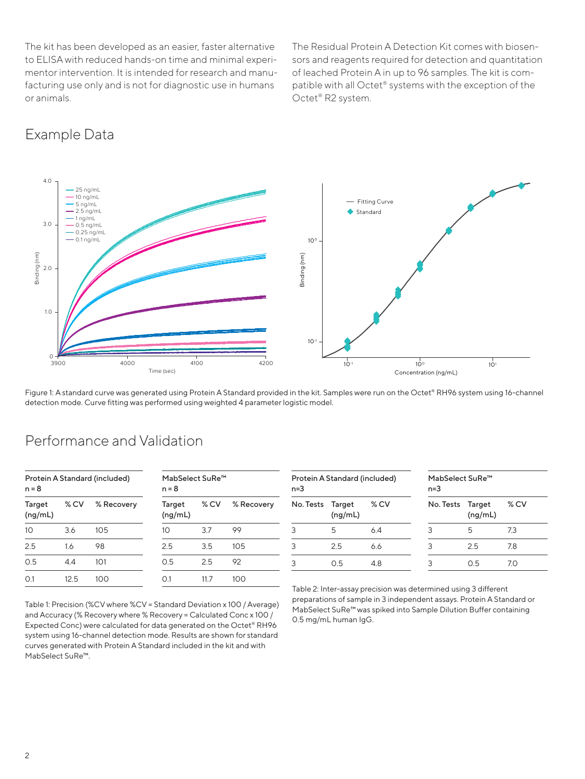The kit has been developed as an easier, faster alternative to ELISA with reduced hands-on time and minimal experimentor intervention. It is intended for research and manufacturing use only and is not for diagnostic use in humans or animals.

The Residual Protein A Detection Kit comes with biosensors and reagents required for detection and quantitation of leached Protein A in up to 96 samples. The kit is compatible with all Octet® systems with the exception of the Octet® R2 system.

#### 4.0 25 ng/mL 10 ng/mL **Fitting Curve** 5 ng/mL  $2.5$  ng/mL **◆** Standard 1 ng/mL 3.0 0.5 ng/mL 0.25 ng/mL 0.1 ng/mL  $10<sup>°</sup>$ 3inding (nm) Binding (nm) 3inding (nm) Binding (nm) 2.0 1.0  $10^{-1}$  $0 + 0$ 3900 4000 4100 4200  $10^{-1}$  10<sup>o</sup> 10<sup>o</sup> 10<sup>o</sup> Time (sec) Concentration (ng/mL)

Figure 1: A standard curve was generated using Protein A Standard provided in the kit. Samples were run on the Octet® RH96 system using 16-channel detection mode. Curve fitting was performed using weighted 4 parameter logistic model.

#### Protein A Standard (included)  $n = 8$ MabSelect SuRe™  $n = 8$ Target (ng/mL) % CV % Recovery Target (ng/mL) % CV % Recovery 10 3.6 105 10 3.7 99 2.5 1.6 98 2.5 3.5 105 0.5 4.4 101 0.5 2.5 92 0.1 12.5 100 0.1 11.7 100 Protein A Standard (included) n=3 MabSelect SuRe™ n=3 No. Tests Target (ng/mL) % CV No. Tests Target (ng/mL) % CV 3 5 6.4 3 5 7.3 3 2.5 6.6 3 2.5 7.8 3 0.5 4.8 3 0.5 7.0

### Performance and Validation

Table 1: Precision (%CV where %CV = Standard Deviation x 100 / Average) and Accuracy (% Recovery where % Recovery = Calculated Conc x 100 / Expected Conc) were calculated for data generated on the Octet® RH96 system using 16-channel detection mode. Results are shown for standard curves generated with Protein A Standard included in the kit and with MabSelect SuRe™.

Table 2: Inter-assay precision was determined using 3 different preparations of sample in 3 independent assays. Protein A Standard or MabSelect SuRe™ was spiked into Sample Dilution Buffer containing 0.5 mg/mL human IgG.

## Example Data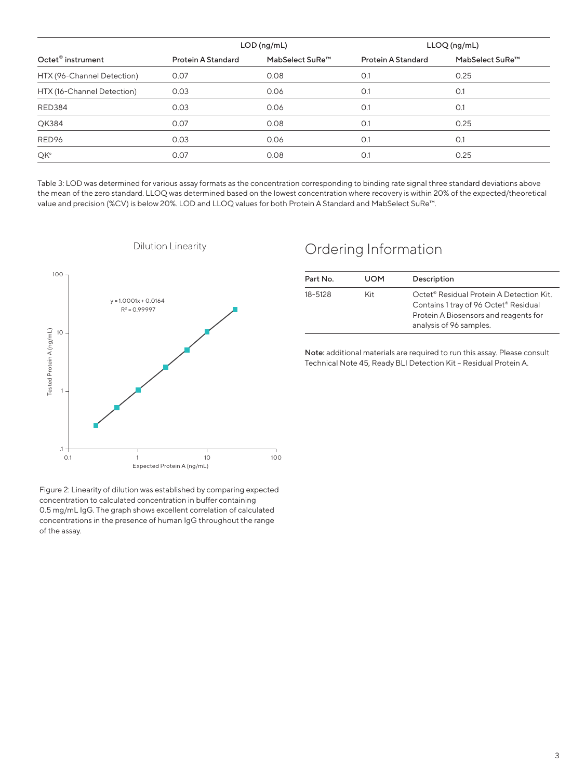|                               | $LOD$ (ng/mL)      |                             | LLOQ (ng/mL)       |                             |
|-------------------------------|--------------------|-----------------------------|--------------------|-----------------------------|
| Octet <sup>®</sup> instrument | Protein A Standard | MabSelect SuRe <sup>™</sup> | Protein A Standard | MabSelect SuRe <sup>™</sup> |
| HTX (96-Channel Detection)    | 0.07               | 0.08                        | O.1                | 0.25                        |
| HTX (16-Channel Detection)    | 0.03               | 0.06                        | O.1                | O.1                         |
| <b>RED384</b>                 | 0.03               | 0.06                        | O.1                | O.1                         |
| QK384                         | 0.07               | 0.08                        | O.1                | 0.25                        |
| RED96                         | 0.03               | 0.06                        | O.1                | O.1                         |
| QK <sup>e</sup>               | 0.07               | 0.08                        | O.1                | 0.25                        |
|                               |                    |                             |                    |                             |

Table 3: LOD was determined for various assay formats as the concentration corresponding to binding rate signal three standard deviations above the mean of the zero standard. LLOQ was determined based on the lowest concentration where recovery is within 20% of the expected/theoretical value and precision (%CV) is below 20%. LOD and LLOQ values for both Protein A Standard and MabSelect SuRe™.



#### Dilution Linearity

#### Ordering Information

| Part No. | <b>UOM</b> | Description                                                                                                                                                                   |
|----------|------------|-------------------------------------------------------------------------------------------------------------------------------------------------------------------------------|
| 18-5128  | Kit.       | Octet <sup>®</sup> Residual Protein A Detection Kit.<br>Contains 1 tray of 96 Octet <sup>®</sup> Residual<br>Protein A Biosensors and reagents for<br>analysis of 96 samples. |

Note: additional materials are required to run this assay. Please consult Technical Note 45, Ready BLI Detection Kit – Residual Protein A.

Figure 2: Linearity of dilution was established by comparing expected concentration to calculated concentration in buffer containing 0.5 mg/mL IgG. The graph shows excellent correlation of calculated concentrations in the presence of human IgG throughout the range of the assay.